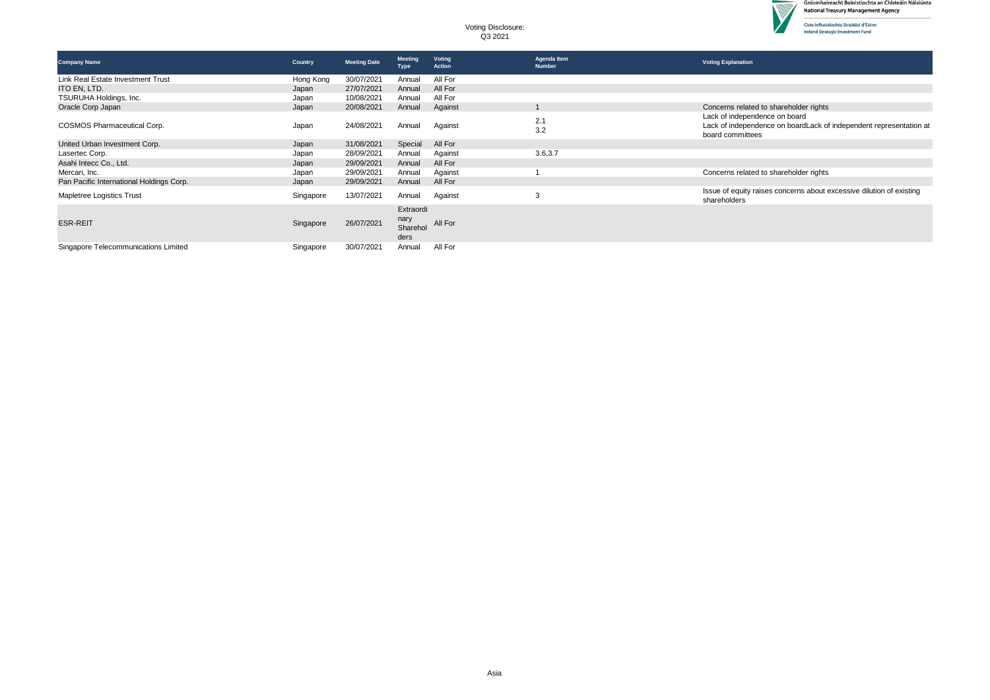

D

| <b>Company Name</b>                      | Country   | <b>Meeting Date</b> | <b>Meeting</b><br><b>Type</b>         | Voting<br>Action | Agenda Item<br><b>Number</b> | <b>Voting Explanation</b>                                                                                               |
|------------------------------------------|-----------|---------------------|---------------------------------------|------------------|------------------------------|-------------------------------------------------------------------------------------------------------------------------|
| Link Real Estate Investment Trust        | Hong Kong | 30/07/2021          | Annual                                | All For          |                              |                                                                                                                         |
| ITO EN, LTD.                             | Japan     | 27/07/2021          | Annual                                | All For          |                              |                                                                                                                         |
| TSURUHA Holdings, Inc.                   | Japan     | 10/08/2021          | Annual                                | All For          |                              |                                                                                                                         |
| Oracle Corp Japan                        | Japan     | 20/08/2021          | Annual                                | Against          |                              | Concerns related to shareholder rights                                                                                  |
| COSMOS Pharmaceutical Corp.              | Japan     | 24/08/2021          | Annual                                | Against          | 2.1<br>3.2                   | Lack of independence on board<br>Lack of independence on boardLack of independent representation at<br>board committees |
| United Urban Investment Corp.            | Japan     | 31/08/2021          | Special                               | All For          |                              |                                                                                                                         |
| Lasertec Corp.                           | Japan     | 28/09/2021          | Annual                                | Against          | 3.6,3.7                      |                                                                                                                         |
| Asahi Intecc Co., Ltd.                   | Japan     | 29/09/2021          | Annual                                | All For          |                              |                                                                                                                         |
| Mercari, Inc.                            | Japan     | 29/09/2021          | Annual                                | Against          |                              | Concerns related to shareholder rights                                                                                  |
| Pan Pacific International Holdings Corp. | Japan     | 29/09/2021          | Annual                                | All For          |                              |                                                                                                                         |
| Mapletree Logistics Trust                | Singapore | 13/07/2021          | Annual                                | Against          | 3                            | Issue of equity raises concerns about excessive dilution of existing<br>shareholders                                    |
| <b>ESR-REIT</b>                          | Singapore | 26/07/2021          | Extraordi<br>nary<br>Sharehol<br>ders | All For          |                              |                                                                                                                         |
| Singapore Telecommunications Limited     | Singapore | 30/07/2021          | Annual                                | All For          |                              |                                                                                                                         |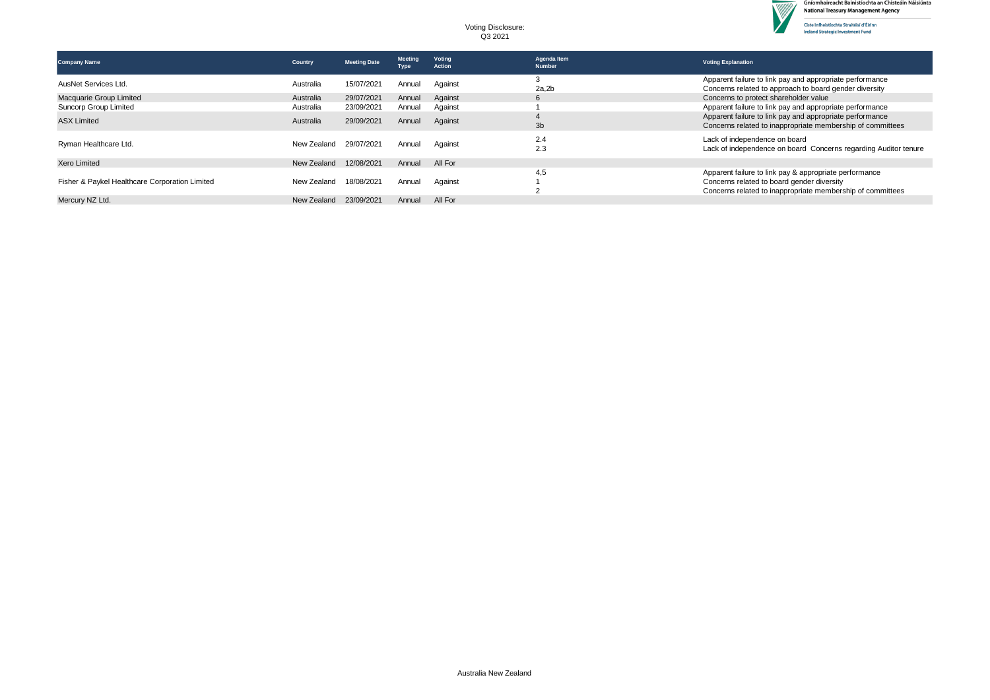

 $\overline{\phantom{a}}$ 

| <b>Company Name</b>                            | Country     | <b>Meeting Date</b> | <b>Meeting</b><br><b>Type</b> | <b>Voting</b><br>Action | Agenda Item<br><b>Number</b> | <b>Voting Explanation</b>                                                                                                                                          |
|------------------------------------------------|-------------|---------------------|-------------------------------|-------------------------|------------------------------|--------------------------------------------------------------------------------------------------------------------------------------------------------------------|
| AusNet Services Ltd.                           | Australia   | 15/07/2021          | Annual                        | Against                 | 2a.2b                        | Apparent failure to link pay and appropriate performance<br>Concerns related to approach to board gender diversity                                                 |
| Macquarie Group Limited                        | Australia   | 29/07/2021          | Annual                        | Against                 | b                            | Concerns to protect shareholder value                                                                                                                              |
| Suncorp Group Limited                          | Australia   | 23/09/2021          | Annual                        | Against                 |                              | Apparent failure to link pay and appropriate performance                                                                                                           |
| <b>ASX Limited</b>                             | Australia   | 29/09/2021          | Annual                        | Against                 | 3 <sub>b</sub>               | Apparent failure to link pay and appropriate performance<br>Concerns related to inappropriate membership of committees                                             |
| Ryman Healthcare Ltd.                          | New Zealand | 29/07/2021          | Annual                        | Against                 | 2.4<br>2.3                   | Lack of independence on board<br>Lack of independence on board Concerns regarding Auditor tenure                                                                   |
| <b>Xero Limited</b>                            | New Zealand | 12/08/2021          | Annual                        | All For                 |                              |                                                                                                                                                                    |
| Fisher & Paykel Healthcare Corporation Limited | New Zealand | 18/08/2021          | Annual                        | Against                 | 4.5                          | Apparent failure to link pay & appropriate performance<br>Concerns related to board gender diversity<br>Concerns related to inappropriate membership of committees |
| Mercury NZ Ltd.                                | New Zealand | 23/09/2021          | Annual                        | All For                 |                              |                                                                                                                                                                    |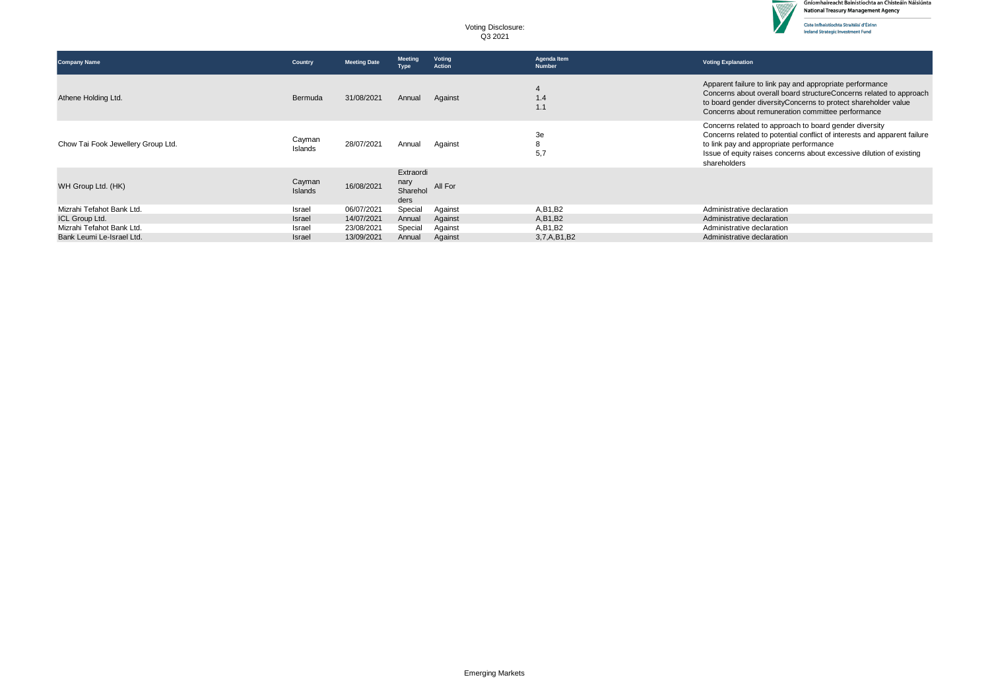

V

| <b>Company Name</b>                | Country                  | <b>Meeting Date</b> | <b>Meeting</b><br>Type                | Voting<br><b>Action</b> | Agenda Item<br><b>Number</b> | <b>Voting Explanation</b>                                                                                                                                                                                                                                             |
|------------------------------------|--------------------------|---------------------|---------------------------------------|-------------------------|------------------------------|-----------------------------------------------------------------------------------------------------------------------------------------------------------------------------------------------------------------------------------------------------------------------|
| Athene Holding Ltd.                | Bermuda                  | 31/08/2021          | Annual                                | Against                 | 1.4                          | Apparent failure to link pay and appropriate performance<br>Concerns about overall board structure Concerns related to approach<br>to board gender diversityConcerns to protect shareholder value<br>Concerns about remuneration committee performance                |
| Chow Tai Fook Jewellery Group Ltd. | Cayman<br>Islands        | 28/07/2021          | Annual                                | Against                 | 3e<br>8<br>5,7               | Concerns related to approach to board gender diversity<br>Concerns related to potential conflict of interests and apparent failure<br>to link pay and appropriate performance<br>Issue of equity raises concerns about excessive dilution of existing<br>shareholders |
| WH Group Ltd. (HK)                 | Cayman<br><b>Islands</b> | 16/08/2021          | Extraordi<br>nary<br>Sharehol<br>ders | All For                 |                              |                                                                                                                                                                                                                                                                       |
| Mizrahi Tefahot Bank Ltd.          | Israel                   | 06/07/2021          | Special                               | Against                 | A, B1, B2                    | Administrative declaration                                                                                                                                                                                                                                            |
| ICL Group Ltd.                     | Israel                   | 14/07/2021          | Annual                                | Against                 | A, B1, B2                    | Administrative declaration                                                                                                                                                                                                                                            |
| Mizrahi Tefahot Bank Ltd.          | Israel                   | 23/08/2021          | Special                               | Against                 | A, B1, B2                    | Administrative declaration                                                                                                                                                                                                                                            |
| Bank Leumi Le-Israel Ltd.          | Israel                   | 13/09/2021          | Annual                                | Against                 | 3,7,A,B1,B2                  | Administrative declaration                                                                                                                                                                                                                                            |
|                                    |                          |                     |                                       |                         |                              |                                                                                                                                                                                                                                                                       |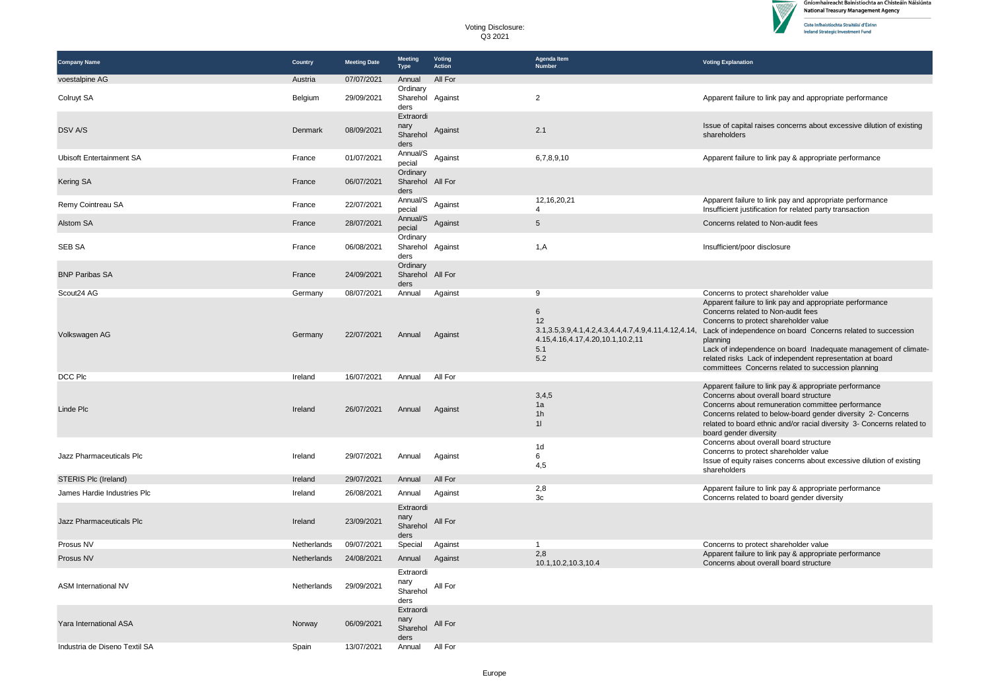

V

| <b>Company Name</b>             | Country     | <b>Meeting Date</b> | <b>Meeting</b><br><b>Type</b>                      | Voting<br><b>Action</b> | Agenda Item<br><b>Number</b>                                                                                                      | <b>Voting Explanation</b>                                                                                                                                                                                                                                                                                                                                                                                 |
|---------------------------------|-------------|---------------------|----------------------------------------------------|-------------------------|-----------------------------------------------------------------------------------------------------------------------------------|-----------------------------------------------------------------------------------------------------------------------------------------------------------------------------------------------------------------------------------------------------------------------------------------------------------------------------------------------------------------------------------------------------------|
| voestalpine AG                  | Austria     | 07/07/2021          | Annual                                             | All For                 |                                                                                                                                   |                                                                                                                                                                                                                                                                                                                                                                                                           |
| Colruyt SA                      | Belgium     | 29/09/2021          | Ordinary<br>Sharehol Against<br>ders               |                         | $\overline{2}$                                                                                                                    | Apparent failure to link pay and appropriate performance                                                                                                                                                                                                                                                                                                                                                  |
| <b>DSV A/S</b>                  | Denmark     | 08/09/2021          | Extraordi<br>nary<br>Sharehol<br>ders              | Against                 | 2.1                                                                                                                               | Issue of capital raises concerns about excessive dilution of existing<br>shareholders                                                                                                                                                                                                                                                                                                                     |
| <b>Ubisoft Entertainment SA</b> | France      | 01/07/2021          | Annual/S<br>pecial                                 | Against                 | 6,7,8,9,10                                                                                                                        | Apparent failure to link pay & appropriate performance                                                                                                                                                                                                                                                                                                                                                    |
| Kering SA                       | France      | 06/07/2021          | Ordinary<br>Sharehol All For<br>ders               |                         |                                                                                                                                   |                                                                                                                                                                                                                                                                                                                                                                                                           |
| Remy Cointreau SA               | France      | 22/07/2021          | Annual/S<br>pecial                                 | Against                 | 12, 16, 20, 21<br>4                                                                                                               | Apparent failure to link pay and appropriate performance<br>Insufficient justification for related party transaction                                                                                                                                                                                                                                                                                      |
| Alstom SA                       | France      | 28/07/2021          | Annual/S<br>pecial                                 | Against                 | 5                                                                                                                                 | Concerns related to Non-audit fees                                                                                                                                                                                                                                                                                                                                                                        |
| <b>SEB SA</b>                   | France      | 06/08/2021          | Ordinary<br>Sharehol Against<br>ders               |                         | 1, A                                                                                                                              | Insufficient/poor disclosure                                                                                                                                                                                                                                                                                                                                                                              |
| <b>BNP Paribas SA</b>           | France      | 24/09/2021          | Ordinary<br>Sharehol All For<br>ders               |                         |                                                                                                                                   |                                                                                                                                                                                                                                                                                                                                                                                                           |
| Scout24 AG                      | Germany     | 08/07/2021          | Annual                                             | Against                 | 9                                                                                                                                 | Concerns to protect shareholder value                                                                                                                                                                                                                                                                                                                                                                     |
| Volkswagen AG                   | Germany     | 22/07/2021          | Annual                                             | Against                 | 6<br>12<br>3.1, 3.5, 3.9, 4.1, 4.2, 4.3, 4.4, 4.7, 4.9, 4.11, 4.12, 4.14,<br>4.15, 4.16, 4.17, 4.20, 10.1, 10.2, 11<br>5.1<br>5.2 | Apparent failure to link pay and appropriate performance<br>Concerns related to Non-audit fees<br>Concerns to protect shareholder value<br>Lack of independence on board Concerns related to succession<br>planning<br>Lack of independence on board Inadequate management of climate-<br>related risks Lack of independent representation at board<br>committees Concerns related to succession planning |
| DCC Plc                         | Ireland     | 16/07/2021          | Annual                                             | All For                 |                                                                                                                                   |                                                                                                                                                                                                                                                                                                                                                                                                           |
| Linde Plc                       | Ireland     | 26/07/2021          | Annual                                             | Against                 | 3,4,5<br>1a<br>1h<br>11                                                                                                           | Apparent failure to link pay & appropriate performance<br>Concerns about overall board structure<br>Concerns about remuneration committee performance<br>Concerns related to below-board gender diversity 2- Concerns<br>related to board ethnic and/or racial diversity 3- Concerns related to<br>board gender diversity                                                                                 |
| Jazz Pharmaceuticals Plc        | Ireland     | 29/07/2021          | Annual                                             | Against                 | 1d<br>6<br>4,5                                                                                                                    | Concerns about overall board structure<br>Concerns to protect shareholder value<br>Issue of equity raises concerns about excessive dilution of existing<br>shareholders                                                                                                                                                                                                                                   |
| STERIS Plc (Ireland)            | Ireland     | 29/07/2021          | Annual                                             | All For                 |                                                                                                                                   |                                                                                                                                                                                                                                                                                                                                                                                                           |
| James Hardie Industries Plc     | Ireland     | 26/08/2021          | Annual                                             | Against                 | 2,8<br>3 <sub>c</sub>                                                                                                             | Apparent failure to link pay & appropriate performance<br>Concerns related to board gender diversity                                                                                                                                                                                                                                                                                                      |
| Jazz Pharmaceuticals Plc        | Ireland     | 23/09/2021          | Extraordi<br>nary<br>Sharehol<br>ders              | All For                 |                                                                                                                                   |                                                                                                                                                                                                                                                                                                                                                                                                           |
| Prosus NV                       | Netherlands | 09/07/2021          | Special                                            | Against                 | $\mathbf{1}$                                                                                                                      | Concerns to protect shareholder value                                                                                                                                                                                                                                                                                                                                                                     |
| Prosus NV                       | Netherlands | 24/08/2021          | Annual                                             | Against                 | 2,8<br>10.1, 10.2, 10.3, 10.4                                                                                                     | Apparent failure to link pay & appropriate performance<br>Concerns about overall board structure                                                                                                                                                                                                                                                                                                          |
| ASM International NV            | Netherlands | 29/09/2021          | Extraordi<br>nary<br>Sharehol<br>ders<br>Extraordi | All For                 |                                                                                                                                   |                                                                                                                                                                                                                                                                                                                                                                                                           |
| Yara International ASA          | Norway      | 06/09/2021          | nary<br>Sharehol<br>ders                           | All For                 |                                                                                                                                   |                                                                                                                                                                                                                                                                                                                                                                                                           |
| Industria de Diseno Textil SA   | Spain       | 13/07/2021          | Annual                                             | All For                 |                                                                                                                                   |                                                                                                                                                                                                                                                                                                                                                                                                           |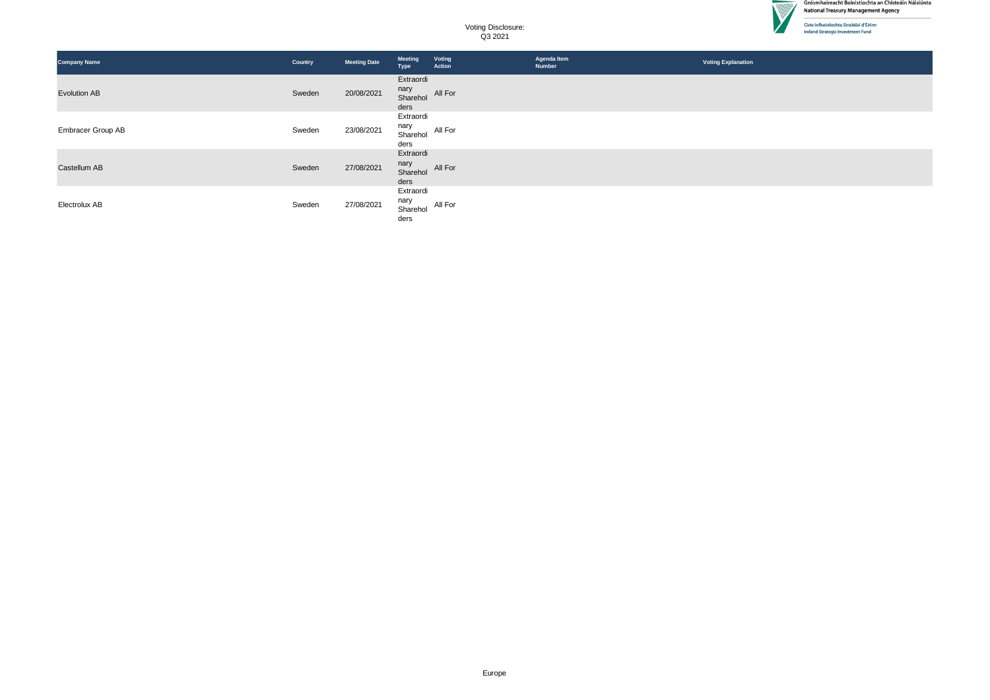

 $\overline{\phantom{a}}$ 

| <b>Company Name</b>      | Country | <b>Meeting Date</b> | <b>Meeting</b><br>Type                | Voting<br>Action | Agenda Item<br>Number | <b>Voting Explanation</b> |
|--------------------------|---------|---------------------|---------------------------------------|------------------|-----------------------|---------------------------|
| <b>Evolution AB</b>      | Sweden  | 20/08/2021          | Extraordi<br>nary<br>Sharehol<br>ders | All For          |                       |                           |
| <b>Embracer Group AB</b> | Sweden  | 23/08/2021          | Extraordi<br>nary<br>Sharehol<br>ders | All For          |                       |                           |
| Castellum AB             | Sweden  | 27/08/2021          | Extraordi<br>nary<br>Sharehol<br>ders | All For          |                       |                           |
| Electrolux AB            | Sweden  | 27/08/2021          | Extraordi<br>nary<br>Sharehol<br>ders | All For          |                       |                           |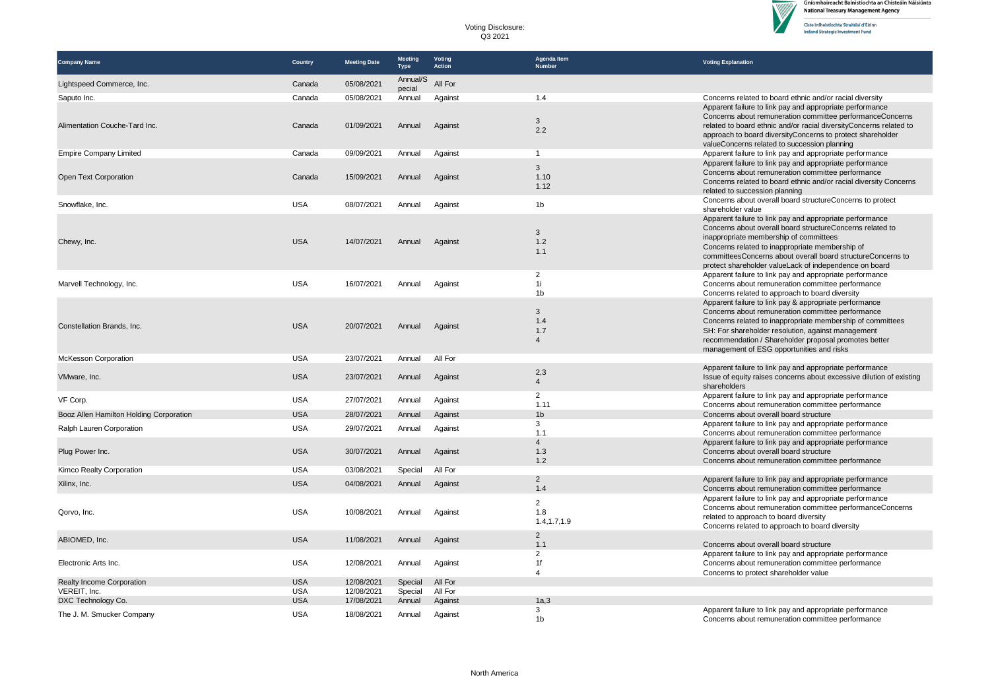| Voting Disclosure: |
|--------------------|
| Q3 2021            |

| <b>Company Name</b>                     | Country    | <b>Meeting Date</b> | <b>Meeting</b><br><b>Type</b> | Voting<br>Action | Agenda Item<br>Number  | <b>Voting Explanation</b>                                                                                                        |
|-----------------------------------------|------------|---------------------|-------------------------------|------------------|------------------------|----------------------------------------------------------------------------------------------------------------------------------|
| Lightspeed Commerce, Inc.               | Canada     | 05/08/2021          | Annual/S<br>pecial            | All For          |                        |                                                                                                                                  |
| Saputo Inc.                             | Canada     | 05/08/2021          | Annual                        | Against          | 1.4                    | Concerns related to board ethnic and/or racial diversity                                                                         |
|                                         |            |                     |                               |                  |                        | Apparent failure to link pay and appropriate performance                                                                         |
|                                         |            |                     |                               |                  | $\mathbf{3}$           | Concerns about remuneration committee performanceConcerns                                                                        |
| Alimentation Couche-Tard Inc.           | Canada     | 01/09/2021          | Annual                        | Against          | 2.2                    | related to board ethnic and/or racial diversityConcerns related to<br>approach to board diversityConcerns to protect shareholder |
|                                         |            |                     |                               |                  |                        | valueConcerns related to succession planning                                                                                     |
| <b>Empire Company Limited</b>           | Canada     | 09/09/2021          | Annual                        | Against          | $\mathbf{1}$           | Apparent failure to link pay and appropriate performance                                                                         |
|                                         |            |                     |                               |                  | 3                      | Apparent failure to link pay and appropriate performance                                                                         |
| Open Text Corporation                   | Canada     | 15/09/2021          | Annual                        | Against          | 1.10                   | Concerns about remuneration committee performance                                                                                |
|                                         |            |                     |                               |                  | 1.12                   | Concerns related to board ethnic and/or racial diversity Concerns<br>related to succession planning                              |
|                                         |            |                     |                               |                  |                        | Concerns about overall board structure Concerns to protect                                                                       |
| Snowflake, Inc.                         | <b>USA</b> | 08/07/2021          | Annual                        | Against          | 1 <sub>b</sub>         | shareholder value                                                                                                                |
|                                         |            |                     |                               |                  |                        | Apparent failure to link pay and appropriate performance                                                                         |
|                                         |            |                     |                               |                  | $\mathbf{3}$           | Concerns about overall board structureConcerns related to                                                                        |
| Chewy, Inc.                             | <b>USA</b> | 14/07/2021          | Annual                        | Against          | 1.2                    | inappropriate membership of committees<br>Concerns related to inappropriate membership of                                        |
|                                         |            |                     |                               |                  | 1.1                    | committeesConcerns about overall board structureConcerns to                                                                      |
|                                         |            |                     |                               |                  |                        | protect shareholder valueLack of independence on board                                                                           |
|                                         |            |                     |                               |                  | 2                      | Apparent failure to link pay and appropriate performance                                                                         |
| Marvell Technology, Inc.                | <b>USA</b> | 16/07/2021          | Annual                        | Against          | 1i                     | Concerns about remuneration committee performance                                                                                |
|                                         |            |                     |                               |                  | 1 <sub>b</sub>         | Concerns related to approach to board diversity<br>Apparent failure to link pay & appropriate performance                        |
|                                         |            |                     |                               |                  | 3                      | Concerns about remuneration committee performance                                                                                |
|                                         |            |                     |                               |                  | 1.4                    | Concerns related to inappropriate membership of committees                                                                       |
| Constellation Brands, Inc.              | <b>USA</b> | 20/07/2021          | Annual                        | Against          | 1.7                    | SH: For shareholder resolution, against management                                                                               |
|                                         |            |                     |                               |                  | $\overline{4}$         | recommendation / Shareholder proposal promotes better                                                                            |
| <b>McKesson Corporation</b>             | <b>USA</b> | 23/07/2021          | Annual                        | All For          |                        | management of ESG opportunities and risks                                                                                        |
|                                         |            |                     |                               |                  |                        | Apparent failure to link pay and appropriate performance                                                                         |
| VMware, Inc.                            | <b>USA</b> | 23/07/2021          | Annual                        | Against          | 2,3<br>$\overline{4}$  | Issue of equity raises concerns about excessive dilution of existing                                                             |
|                                         |            |                     |                               |                  |                        | shareholders                                                                                                                     |
| VF Corp.                                | <b>USA</b> | 27/07/2021          | Annual                        | Against          | $\overline{2}$<br>1.11 | Apparent failure to link pay and appropriate performance                                                                         |
| Booz Allen Hamilton Holding Corporation | <b>USA</b> | 28/07/2021          | Annual                        | Against          | 1 <sub>b</sub>         | Concerns about remuneration committee performance<br>Concerns about overall board structure                                      |
|                                         |            |                     |                               |                  | 3                      | Apparent failure to link pay and appropriate performance                                                                         |
| Ralph Lauren Corporation                | <b>USA</b> | 29/07/2021          | Annual                        | Against          | 1.1                    | Concerns about remuneration committee performance                                                                                |
|                                         |            |                     |                               |                  | $\overline{4}$         | Apparent failure to link pay and appropriate performance                                                                         |
| Plug Power Inc.                         | <b>USA</b> | 30/07/2021          | Annual                        | Against          | 1.3<br>1.2             | Concerns about overall board structure<br>Concerns about remuneration committee performance                                      |
| Kimco Realty Corporation                | <b>USA</b> | 03/08/2021          | Special                       | All For          |                        |                                                                                                                                  |
|                                         |            |                     |                               |                  | $\overline{2}$         | Apparent failure to link pay and appropriate performance                                                                         |
| Xilinx, Inc.                            | <b>USA</b> | 04/08/2021          | Annual                        | Against          | 1.4                    | Concerns about remuneration committee performance                                                                                |
|                                         |            |                     |                               |                  | $\overline{2}$         | Apparent failure to link pay and appropriate performance                                                                         |
| Qorvo, Inc.                             | <b>USA</b> | 10/08/2021          | Annual                        | Against          | 1.8                    | Concerns about remuneration committee performanceConcerns<br>related to approach to board diversity                              |
|                                         |            |                     |                               |                  | 1.4, 1.7, 1.9          | Concerns related to approach to board diversity                                                                                  |
|                                         |            |                     |                               |                  | $\overline{2}$         |                                                                                                                                  |
| ABIOMED, Inc.                           | <b>USA</b> | 11/08/2021          | Annual                        | Against          | 1.1                    | Concerns about overall board structure                                                                                           |
|                                         |            |                     |                               |                  | $\overline{2}$         | Apparent failure to link pay and appropriate performance                                                                         |
| Electronic Arts Inc.                    | <b>USA</b> | 12/08/2021          | Annual                        | Against          | 1f<br>$\overline{4}$   | Concerns about remuneration committee performance<br>Concerns to protect shareholder value                                       |
| Realty Income Corporation               | <b>USA</b> | 12/08/2021          | Special                       | All For          |                        |                                                                                                                                  |
| VEREIT, Inc.                            | <b>USA</b> | 12/08/2021          | Special                       | All For          |                        |                                                                                                                                  |
| DXC Technology Co.                      | <b>USA</b> | 17/08/2021          | Annual                        | Against          | 1a.3                   |                                                                                                                                  |
| The J. M. Smucker Company               | <b>USA</b> | 18/08/2021          | Annual                        | Against          | 3<br>1 <sub>b</sub>    | Apparent failure to link pay and appropriate performance<br>Concerns about remuneration committee performance                    |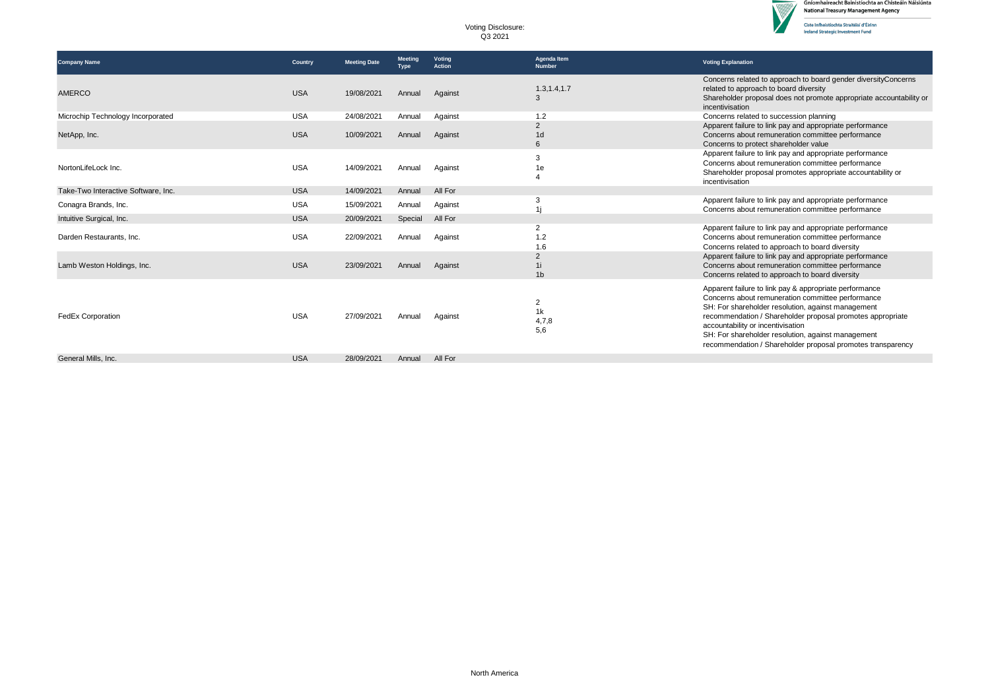

 $\triangledown$ 

| Voting Disclosure: |  |
|--------------------|--|
| Q3 2021            |  |

| <b>Company Name</b>                 | Country    | <b>Meeting Date</b> | <b>Meeting</b><br>Type | Voting<br><b>Action</b> | Agenda Item<br><b>Number</b>          | <b>Voting Explanation</b>                                                                                                                                                                                                                                                                                                                                                                 |
|-------------------------------------|------------|---------------------|------------------------|-------------------------|---------------------------------------|-------------------------------------------------------------------------------------------------------------------------------------------------------------------------------------------------------------------------------------------------------------------------------------------------------------------------------------------------------------------------------------------|
| <b>AMERCO</b>                       | <b>USA</b> | 19/08/2021          | Annual                 | Against                 | 1.3, 1.4, 1.7<br>3                    | Concerns related to approach to board gender diversityConcerns<br>related to approach to board diversity<br>Shareholder proposal does not promote appropriate accountability or<br>incentivisation                                                                                                                                                                                        |
| Microchip Technology Incorporated   | <b>USA</b> | 24/08/2021          | Annual                 | Against                 | 1.2                                   | Concerns related to succession planning                                                                                                                                                                                                                                                                                                                                                   |
| NetApp, Inc.                        | <b>USA</b> | 10/09/2021          | Annual                 | Against                 | $\overline{2}$<br>1 <sub>d</sub><br>6 | Apparent failure to link pay and appropriate performance<br>Concerns about remuneration committee performance<br>Concerns to protect shareholder value                                                                                                                                                                                                                                    |
| NortonLifeLock Inc.                 | <b>USA</b> | 14/09/2021          | Annual                 | Against                 | 3<br>1e                               | Apparent failure to link pay and appropriate performance<br>Concerns about remuneration committee performance<br>Shareholder proposal promotes appropriate accountability or<br>incentivisation                                                                                                                                                                                           |
| Take-Two Interactive Software, Inc. | <b>USA</b> | 14/09/2021          | Annual                 | All For                 |                                       |                                                                                                                                                                                                                                                                                                                                                                                           |
| Conagra Brands, Inc.                | <b>USA</b> | 15/09/2021          | Annual                 | Against                 | 3                                     | Apparent failure to link pay and appropriate performance<br>Concerns about remuneration committee performance                                                                                                                                                                                                                                                                             |
| Intuitive Surgical, Inc.            | <b>USA</b> | 20/09/2021          | Special                | All For                 |                                       |                                                                                                                                                                                                                                                                                                                                                                                           |
| Darden Restaurants, Inc.            | <b>USA</b> | 22/09/2021          | Annual                 | Against                 | 2<br>1.2<br>1.6                       | Apparent failure to link pay and appropriate performance<br>Concerns about remuneration committee performance<br>Concerns related to approach to board diversity                                                                                                                                                                                                                          |
| Lamb Weston Holdings, Inc.          | <b>USA</b> | 23/09/2021          | Annual                 | Against                 | $\overline{2}$<br>1 <sub>b</sub>      | Apparent failure to link pay and appropriate performance<br>Concerns about remuneration committee performance<br>Concerns related to approach to board diversity                                                                                                                                                                                                                          |
| <b>FedEx Corporation</b>            | <b>USA</b> | 27/09/2021          | Annual                 | Against                 | $\overline{2}$<br>1k<br>4,7,8<br>5,6  | Apparent failure to link pay & appropriate performance<br>Concerns about remuneration committee performance<br>SH: For shareholder resolution, against management<br>recommendation / Shareholder proposal promotes appropriate<br>accountability or incentivisation<br>SH: For shareholder resolution, against management<br>recommendation / Shareholder proposal promotes transparency |
| General Mills, Inc.                 | <b>USA</b> | 28/09/2021          | Annual                 | All For                 |                                       |                                                                                                                                                                                                                                                                                                                                                                                           |
|                                     |            |                     |                        |                         |                                       |                                                                                                                                                                                                                                                                                                                                                                                           |